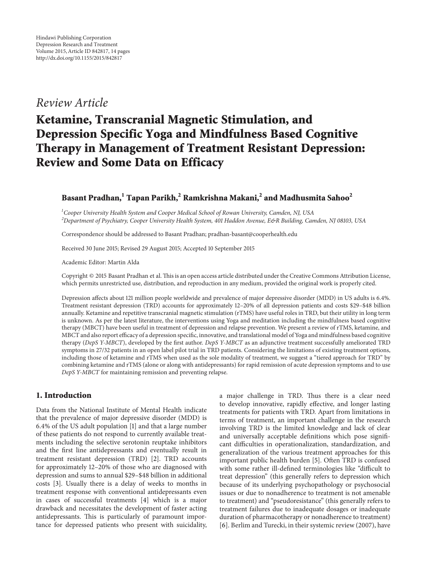## *Review Article*

# **Ketamine, Transcranial Magnetic Stimulation, and Depression Specific Yoga and Mindfulness Based Cognitive Therapy in Management of Treatment Resistant Depression: Review and Some Data on Efficacy**

## **Basant Pradhan,1 Tapan Parikh,2 Ramkrishna Makani,<sup>2</sup> and Madhusmita Sahoo<sup>2</sup>**

*1 Cooper University Health System and Cooper Medical School of Rowan University, Camden, NJ, USA 2 Department of Psychiatry, Cooper University Health System, 401 Haddon Avenue, E&R Building, Camden, NJ 08103, USA*

Correspondence should be addressed to Basant Pradhan; pradhan-basant@cooperhealth.edu

Received 30 June 2015; Revised 29 August 2015; Accepted 10 September 2015

Academic Editor: Martin Alda

Copyright © 2015 Basant Pradhan et al.This is an open access article distributed under the Creative Commons Attribution License, which permits unrestricted use, distribution, and reproduction in any medium, provided the original work is properly cited.

Depression affects about 121 million people worldwide and prevalence of major depressive disorder (MDD) in US adults is 6.4%. Treatment resistant depression (TRD) accounts for approximately 12–20% of all depression patients and costs \$29–\$48 billion annually. Ketamine and repetitive transcranial magnetic stimulation (rTMS) have useful roles in TRD, but their utility in long term is unknown. As per the latest literature, the interventions using Yoga and meditation including the mindfulness based cognitive therapy (MBCT) have been useful in treatment of depression and relapse prevention. We present a review of rTMS, ketamine, and MBCT and also report efficacy of a depression specific, innovative, and translational model of Yoga and mindfulness based cognitive therapy (*DepS Y-MBCT*), developed by the first author. *DepS Y-MBCT* as an adjunctive treatment successfully ameliorated TRD symptoms in 27/32 patients in an open label pilot trial in TRD patients. Considering the limitations of existing treatment options, including those of ketamine and rTMS when used as the sole modality of treatment, we suggest a "tiered approach for TRD" by combining ketamine and rTMS (alone or along with antidepressants) for rapid remission of acute depression symptoms and to use *DepS Y-MBCT* for maintaining remission and preventing relapse.

### **1. Introduction**

Data from the National Institute of Mental Health indicate that the prevalence of major depressive disorder (MDD) is 6.4% of the US adult population [1] and that a large number of these patients do not respond to currently available treatments including the selective serotonin reuptake inhibitors and the first line antidepressants and eventually result in treatment resistant depression (TRD) [2]. TRD accounts for approximately 12–20% of those who are diagnosed with depression and sums to annual \$29–\$48 billion in additional costs [3]. Usually there is a delay of weeks to months in treatment response with conventional antidepressants even in cases of successful treatments [4] which is a major drawback and necessitates the development of faster acting antidepressants. This is particularly of paramount importance for depressed patients who present with suicidality,

a major challenge in TRD. Thus there is a clear need to develop innovative, rapidly effective, and longer lasting treatments for patients with TRD. Apart from limitations in terms of treatment, an important challenge in the research involving TRD is the limited knowledge and lack of clear and universally acceptable definitions which pose significant difficulties in operationalization, standardization, and generalization of the various treatment approaches for this important public health burden [5]. Often TRD is confused with some rather ill-defined terminologies like "difficult to treat depression" (this generally refers to depression which because of its underlying psychopathology or psychosocial issues or due to nonadherence to treatment is not amenable to treatment) and "pseudoresistance" (this generally refers to treatment failures due to inadequate dosages or inadequate duration of pharmacotherapy or nonadherence to treatment) [6]. Berlim and Turecki, in their systemic review (2007), have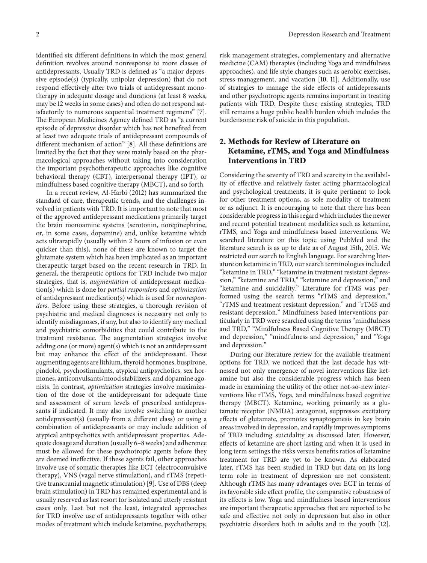identified six different definitions in which the most general definition revolves around nonresponse to more classes of antidepressants. Usually TRD is defined as "a major depressive episode(s) (typically, unipolar depression) that do not respond effectively after two trials of antidepressant monotherapy in adequate dosage and durations (at least 8 weeks, may be 12 weeks in some cases) and often do not respond satisfactorily to numerous sequential treatment regimens" [7]. The European Medicines Agency defined TRD as "a current episode of depressive disorder which has not benefited from at least two adequate trials of antidepressant compounds of different mechanism of action" [8]. All these definitions are limited by the fact that they were mainly based on the pharmacological approaches without taking into consideration the important psychotherapeutic approaches like cognitive behavioral therapy (CBT), interpersonal therapy (IPT), or mindfulness based cognitive therapy (MBCT), and so forth.

In a recent review, Al-Harbi (2012) has summarized the standard of care, therapeutic trends, and the challenges involved in patients with TRD. It is important to note that most of the approved antidepressant medications primarily target the brain monoamine systems (serotonin, norepinephrine, or, in some cases, dopamine) and, unlike ketamine which acts ultrarapidly (usually within 2 hours of infusion or even quicker than this), none of these are known to target the glutamate system which has been implicated as an important therapeutic target based on the recent research in TRD. In general, the therapeutic options for TRD include two major strategies, that is, *augmentation* of antidepressant medication(s) which is done for *partial responders* and *optimization* of antidepressant medication(s) which is used for *nonresponders*. Before using these strategies, a thorough revision of psychiatric and medical diagnoses is necessary not only to identify misdiagnoses, if any, but also to identify any medical and psychiatric comorbidities that could contribute to the treatment resistance. The augmentation strategies involve adding one (or more) agent(s) which is not an antidepressant but may enhance the effect of the antidepressant. These augmenting agents are lithium, thyroid hormones, buspirone, pindolol, psychostimulants, atypical antipsychotics, sex hormones, anticonvulsants/mood stabilizers, and dopamine agonists. In contrast, *optimization* strategies involve maximization of the dose of the antidepressant for adequate time and assessment of serum levels of prescribed antidepressants if indicated. It may also involve switching to another antidepressant(s) (usually from a different class) or using a combination of antidepressants or may include addition of atypical antipsychotics with antidepressant properties. Adequate dosage and duration (usually 6–8 weeks) and adherence must be allowed for these psychotropic agents before they are deemed ineffective. If these agents fail, other approaches involve use of somatic therapies like ECT (electroconvulsive therapy), VNS (vagal nerve stimulation), and rTMS (repetitive transcranial magnetic stimulation) [9]. Use of DBS (deep brain stimulation) in TRD has remained experimental and is usually reserved as last resort for isolated and utterly resistant cases only. Last but not the least, integrated approaches for TRD involve use of antidepressants together with other modes of treatment which include ketamine, psychotherapy,

risk management strategies, complementary and alternative medicine (CAM) therapies (including Yoga and mindfulness approaches), and life style changes such as aerobic exercises, stress management, and vacation [10, 11]. Additionally, use of strategies to manage the side effects of antidepressants and other psychotropic agents remains important in treating patients with TRD. Despite these existing strategies, TRD still remains a huge public health burden which includes the burdensome risk of suicide in this population.

## **2. Methods for Review of Literature on Ketamine, rTMS, and Yoga and Mindfulness Interventions in TRD**

Considering the severity of TRD and scarcity in the availability of effective and relatively faster acting pharmacological and psychological treatments, it is quite pertinent to look for other treatment options, as sole modality of treatment or as adjunct. It is encouraging to note that there has been considerable progress in this regard which includes the newer and recent potential treatment modalities such as ketamine, rTMS, and Yoga and mindfulness based interventions. We searched literature on this topic using PubMed and the literature search is as up to date as of August 15th, 2015. We restricted our search to English language. For searching literature on ketamine in TRD, our search terminologies included "ketamine in TRD," "ketamine in treatment resistant depression," "ketamine and TRD," "ketamine and depression," and "ketamine and suicidality." Literature for rTMS was performed using the search terms "rTMS and depression," "rTMS and treatment resistant depression," and "rTMS and resistant depression." Mindfulness based interventions particularly in TRD were searched using the terms "mindfulness and TRD," "Mindfulness Based Cognitive Therapy (MBCT) and depression," "mindfulness and depression," and "Yoga and depression."

During our literature review for the available treatment options for TRD, we noticed that the last decade has witnessed not only emergence of novel interventions like ketamine but also the considerable progress which has been made in examining the utility of the other not-so-new interventions like rTMS, Yoga, and mindfulness based cognitive therapy (MBCT). Ketamine, working primarily as a glutamate receptor (NMDA) antagonist, suppresses excitatory effects of glutamate, promotes synaptogenesis in key brain areas involved in depression, and rapidly improves symptoms of TRD including suicidality as discussed later. However, effects of ketamine are short lasting and when it is used in long term settings the risks versus benefits ratios of ketamine treatment for TRD are yet to be known. As elaborated later, rTMS has been studied in TRD but data on its long term role in treatment of depression are not consistent. Although rTMS has many advantages over ECT in terms of its favorable side effect profile, the comparative robustness of its effects is low. Yoga and mindfulness based interventions are important therapeutic approaches that are reported to be safe and effective not only in depression but also in other psychiatric disorders both in adults and in the youth [12].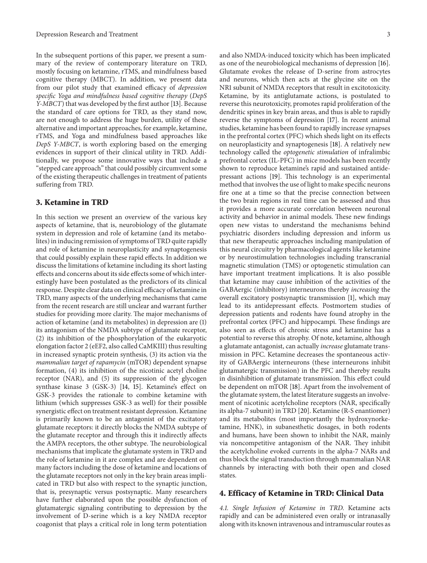In the subsequent portions of this paper, we present a summary of the review of contemporary literature on TRD, mostly focusing on ketamine, rTMS, and mindfulness based cognitive therapy (MBCT). In addition, we present data from our pilot study that examined efficacy of *depression specific Yoga and mindfulness based cognitive therapy* (*DepS Y-MBCT*) that was developed by the first author [13]. Because the standard of care options for TRD, as they stand now, are not enough to address the huge burden, utility of these alternative and important approaches, for example, ketamine, rTMS, and Yoga and mindfulness based approaches like *DepS Y-MBCT*, is worth exploring based on the emerging evidences in support of their clinical utility in TRD. Additionally, we propose some innovative ways that include a "stepped care approach" that could possibly circumvent some of the existing therapeutic challenges in treatment of patients suffering from TRD.

#### **3. Ketamine in TRD**

In this section we present an overview of the various key aspects of ketamine, that is, neurobiology of the glutamate system in depression and role of ketamine (and its metabolites) in inducing remission of symptoms of TRD quite rapidly and role of ketamine in neuroplasticity and synaptogenesis that could possibly explain these rapid effects. In addition we discuss the limitations of ketamine including its short lasting effects and concerns about its side effects some of which interestingly have been postulated as the predictors of its clinical response. Despite clear data on clinical efficacy of ketamine in TRD, many aspects of the underlying mechanisms that came from the recent research are still unclear and warrant further studies for providing more clarity. The major mechanisms of action of ketamine (and its metabolites) in depression are (1) its antagonism of the NMDA subtype of glutamate receptor, (2) its inhibition of the phosphorylation of the eukaryotic elongation factor 2 (eEF2, also called CaMKIII) thus resulting in increased synaptic protein synthesis, (3) its action via the *mammalian target of rapamycin* (mTOR) dependent synapse formation, (4) its inhibition of the nicotinic acetyl choline receptor (NAR), and (5) its suppression of the glycogen synthase kinase 3 (GSK-3) [14, 15]. Ketamine's effect on GSK-3 provides the rationale to combine ketamine with lithium (which suppresses GSK-3 as well) for their possible synergistic effect on treatment resistant depression. Ketamine is primarily known to be an antagonist of the excitatory glutamate receptors: it directly blocks the NMDA subtype of the glutamate receptor and through this it indirectly affects the AMPA receptors, the other subtype. The neurobiological mechanisms that implicate the glutamate system in TRD and the role of ketamine in it are complex and are dependent on many factors including the dose of ketamine and locations of the glutamate receptors not only in the key brain areas implicated in TRD but also with respect to the synaptic junction, that is, presynaptic versus postsynaptic. Many researchers have further elaborated upon the possible dysfunction of glutamatergic signaling contributing to depression by the involvement of D-serine which is a key NMDA receptor coagonist that plays a critical role in long term potentiation

and also NMDA-induced toxicity which has been implicated as one of the neurobiological mechanisms of depression [16]. Glutamate evokes the release of D-serine from astrocytes and neurons, which then acts at the glycine site on the NR1 subunit of NMDA receptors that result in excitotoxicity. Ketamine, by its antiglutamate actions, is postulated to reverse this neurotoxicity, promotes rapid proliferation of the dendritic spines in key brain areas, and thus is able to rapidly reverse the symptoms of depression [17]. In recent animal studies, ketamine has been found to rapidly increase synapses in the prefrontal cortex (PFC) which sheds light on its effects on neuroplasticity and synaptogenesis [18]. A relatively new technology called the *optogenetic stimulation* of infralimbic prefrontal cortex (IL-PFC) in mice models has been recently shown to reproduce ketamine's rapid and sustained antidepressant actions [19]. This technology is an experimental method that involves the use of light to make specific neurons fire one at a time so that the precise connection between the two brain regions in real time can be assessed and thus it provides a more accurate correlation between neuronal activity and behavior in animal models. These new findings open new vistas to understand the mechanisms behind psychiatric disorders including depression and inform us that new therapeutic approaches including manipulation of this neural circuitry by pharmacological agents like ketamine or by neurostimulation technologies including transcranial magnetic stimulation (TMS) or optogenetic stimulation can have important treatment implications. It is also possible that ketamine may cause inhibition of the activities of the GABAergic (inhibitory) interneurons thereby *increasing* the overall excitatory postsynaptic transmission [1], which may lead to its antidepressant effects. Postmortem studies of depression patients and rodents have found atrophy in the prefrontal cortex (PFC) and hippocampi. These findings are also seen as effects of chronic stress and ketamine has a potential to reverse this atrophy. Of note, ketamine, although a glutamate antagonist, can actually *increase* glutamate transmission in PFC. Ketamine decreases the spontaneous activity of GABAergic interneurons (these interneurons inhibit glutamatergic transmission) in the PFC and thereby results in disinhibition of glutamate transmission. This effect could be dependent on mTOR [18]. Apart from the involvement of the glutamate system, the latest literature suggests an involvement of nicotinic acetylcholine receptors (NAR, specifically its alpha-7 subunit) in TRD [20]. Ketamine (R-S enantiomer) and its metabolites (most importantly the hydroxynorketamine, HNK), in subanesthetic dosages, in both rodents and humans, have been shown to inhibit the NAR, mainly via noncompetitive antagonism of the NAR. They inhibit the acetylcholine evoked currents in the alpha-7 NARs and thus block the signal transduction through mammalian NAR channels by interacting with both their open and closed states.

#### **4. Efficacy of Ketamine in TRD: Clinical Data**

*4.1. Single Infusion of Ketamine in TRD.* Ketamine acts rapidly and can be administered even orally or intranasally along with its known intravenous and intramuscular routes as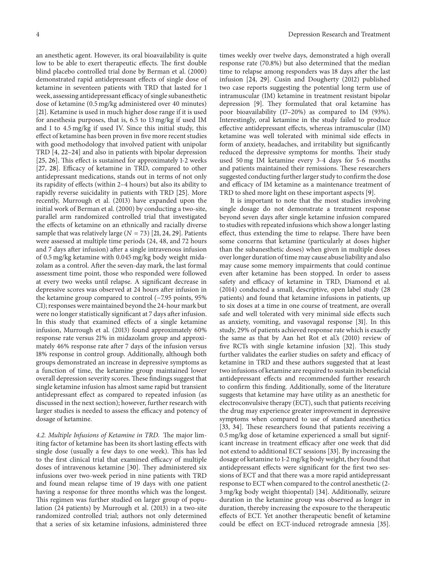an anesthetic agent. However, its oral bioavailability is quite low to be able to exert therapeutic effects. The first double blind placebo controlled trial done by Berman et al. (2000) demonstrated rapid antidepressant effects of single dose of ketamine in seventeen patients with TRD that lasted for 1 week, assessing antidepressant efficacy of single subanesthetic dose of ketamine (0.5 mg/kg administered over 40 minutes) [21]. Ketamine is used in much higher dose range if it is used for anesthesia purposes, that is, 6.5 to 13 mg/kg if used IM and 1 to 4.5 mg/kg if used IV. Since this initial study, this effect of ketamine has been proven in five more recent studies with good methodology that involved patient with unipolar TRD [4, 22–24] and also in patients with bipolar depression [25, 26]. This effect is sustained for approximately 1-2 weeks [27, 28]. Efficacy of ketamine in TRD, compared to other antidepressant medications, stands out in terms of not only its rapidity of effects (within 2–4 hours) but also its ability to rapidly reverse suicidality in patients with TRD [25]. More recently, Murrough et al. (2013) have expanded upon the initial work of Berman et al. (2000) by conducting a two-site, parallel arm randomized controlled trial that investigated the effects of ketamine on an ethnically and racially diverse sample that was relatively large  $(N = 73)$  [21, 24, 29]. Patients were assessed at multiple time periods (24, 48, and 72 hours and 7 days after infusion) after a single intravenous infusion of 0.5 mg/kg ketamine with 0.045 mg/kg body weight midazolam as a control. After the seven-day mark, the last formal assessment time point, those who responded were followed at every two weeks until relapse. A significant decrease in depressive scores was observed at 24 hours after infusion in the ketamine group compared to control (−7.95 points, 95% CI); responses were maintained beyond the 24-hour mark but were no longer statistically significant at 7 days after infusion. In this study that examined effects of a single ketamine infusion, Murrough et al. (2013) found approximately 60% response rate versus 21% in midazolam group and approximately 46% response rate after 7 days of the infusion versus 18% response in control group. Additionally, although both groups demonstrated an increase in depressive symptoms as a function of time, the ketamine group maintained lower overall depression severity scores. These findings suggest that single ketamine infusion has almost same rapid but transient antidepressant effect as compared to repeated infusion (as discussed in the next section); however, further research with larger studies is needed to assess the efficacy and potency of dosage of ketamine.

*4.2. Multiple Infusions of Ketamine in TRD.* The major limiting factor of ketamine has been its short lasting effects with single dose (usually a few days to one week). This has led to the first clinical trial that examined efficacy of multiple doses of intravenous ketamine [30]. They administered six infusions over two-week period in nine patients with TRD and found mean relapse time of 19 days with one patient having a response for three months which was the longest. This regimen was further studied on larger group of population (24 patients) by Murrough et al. (2013) in a two-site randomized controlled trial; authors not only determined that a series of six ketamine infusions, administered three

times weekly over twelve days, demonstrated a high overall response rate (70.8%) but also determined that the median time to relapse among responders was 18 days after the last infusion [24, 29]. Cusin and Dougherty (2012) published two case reports suggesting the potential long term use of intramuscular (IM) ketamine in treatment resistant bipolar depression [9]. They formulated that oral ketamine has poor bioavailability (17–20%) as compared to IM (93%). Interestingly, oral ketamine in the study failed to produce effective antidepressant effects, whereas intramuscular (IM) ketamine was well tolerated with minimal side effects in form of anxiety, headaches, and irritability but significantly reduced the depressive symptoms for months. Their study used 50 mg IM ketamine every 3-4 days for 5-6 months and patients maintained their remissions. These researchers suggested conducting further larger study to confirm the dose and efficacy of IM ketamine as a maintenance treatment of TRD to shed more light on these important aspects [9].

It is important to note that the most studies involving single dosage do not demonstrate a treatment response beyond seven days after single ketamine infusion compared to studies with repeated infusions which show a longer lasting effect, thus extending the time to relapse. There have been some concerns that ketamine (particularly at doses higher than the subanesthetic doses) when given in multiple doses over longer duration of time may cause abuse liability and also may cause some memory impairments that could continue even after ketamine has been stopped. In order to assess safety and efficacy of ketamine in TRD, Diamond et al. (2014) conducted a small, descriptive, open label study (28 patients) and found that ketamine infusions in patients, up to six doses at a time in one course of treatment, are overall safe and well tolerated with very minimal side effects such as anxiety, vomiting, and vasovagal response [31]. In this study, 29% of patients achieved response rate which is exactly the same as that by Aan het Rot et al.'s (2010) review of five RCTs with single ketamine infusion [32]. This study further validates the earlier studies on safety and efficacy of ketamine in TRD and these authors suggested that at least two infusions of ketamine are required to sustain its beneficial antidepressant effects and recommended further research to confirm this finding. Additionally, some of the literature suggests that ketamine may have utility as an anesthetic for electroconvulsive therapy (ECT), such that patients receiving the drug may experience greater improvement in depressive symptoms when compared to use of standard anesthetics [33, 34]. These researchers found that patients receiving a 0.5 mg/kg dose of ketamine experienced a small but significant increase in treatment efficacy after one week that did not extend to additional ECT sessions [33]. By increasing the dosage of ketamine to 1-2 mg/kg body weight, they found that antidepressant effects were significant for the first two sessions of ECT and that there was a more rapid antidepressant response to ECT when compared to the control anesthetic (2- 3 mg/kg body weight thiopental) [34]. Additionally, seizure duration in the ketamine group was observed as longer in duration, thereby increasing the exposure to the therapeutic effects of ECT. Yet another therapeutic benefit of ketamine could be effect on ECT-induced retrograde amnesia [35].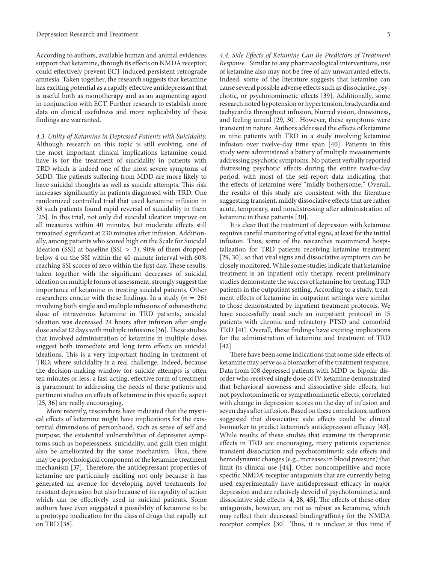According to authors, available human and animal evidences support that ketamine, through its effects on NMDA receptor, could effectively prevent ECT-induced persistent retrograde amnesia. Taken together, the research suggests that ketamine has exciting potential as a rapidly effective antidepressant that is useful both as monotherapy and as an augmenting agent in conjunction with ECT. Further research to establish more data on clinical usefulness and more replicability of these findings are warranted.

*4.3. Utility of Ketamine in Depressed Patients with Suicidality.* Although research on this topic is still evolving, one of the most important clinical implications ketamine could have is for the treatment of suicidality in patients with TRD which is indeed one of the most severe symptoms of MDD. The patients suffering from MDD are more likely to have suicidal thoughts as well as suicide attempts. This risk increases significantly in patients diagnosed with TRD. One randomized controlled trial that used ketamine infusion in 33 such patients found rapid reversal of suicidality in them [25]. In this trial, not only did suicidal ideation improve on all measures within 40 minutes, but moderate effects still remained significant at 230 minutes after infusion. Additionally, among patients who scored high on the Scale for Suicidal Ideation (SSI) at baseline (SSI > 3), 90% of them dropped below 4 on the SSI within the 40-minute interval with 60% reaching SSI scores of zero within the first day. These results, taken together with the significant decreases of suicidal ideation on multiple forms of assessment, strongly suggest the importance of ketamine in treating suicidal patients. Other researchers concur with these findings. In a study ( $n = 26$ ) involving both single and multiple infusions of subanesthetic dose of intravenous ketamine in TRD patients, suicidal ideation was decreased 24 hours after infusion after single dose and at 12 days with multiple infusions [36]. These studies that involved administration of ketamine in multiple doses suggest both immediate and long term effects on suicidal ideations. This is a very important finding in treatment of TRD, where suicidality is a real challenge. Indeed, because the decision-making window for suicide attempts is often ten minutes or less, a fast-acting, effective form of treatment is paramount to addressing the needs of these patients and pertinent studies on effects of ketamine in this specific aspect [25, 36] are really encouraging.

More recently, researchers have indicated that the mystical effects of ketamine might have implications for the existential dimensions of personhood, such as sense of self and purpose; the existential vulnerabilities of depressive symptoms such as hopelessness, suicidality, and guilt then might also be ameliorated by the same mechanism. Thus, there may be a psychological component of the ketamine treatment mechanism [37]. Therefore, the antidepressant properties of ketamine are particularly exciting not only because it has generated an avenue for developing novel treatments for resistant depression but also because of its rapidity of action which can be effectively used in suicidal patients. Some authors have even suggested a possibility of ketamine to be a prototype medication for the class of drugs that rapidly act on TRD [38].

*4.4. Side Effects of Ketamine Can Be Predictors of Treatment Response.* Similar to any pharmacological interventions, use of ketamine also may not be free of any unwarranted effects. Indeed, some of the literature suggests that ketamine can cause several possible adverse effects such as dissociative, psychotic, or psychotomimetic effects [39]. Additionally, some research noted hypotension or hypertension, bradycardia and tachycardia throughout infusion, blurred vision, drowsiness, and feeling unreal [29, 30]. However, these symptoms were transient in nature. Authors addressed the effects of ketamine in nine patients with TRD in a study involving ketamine infusion over twelve-day time span [40]. Patients in this study were administered a battery of multiple measurements addressing psychotic symptoms. No patient verbally reported distressing psychotic effects during the entire twelve-day period, with most of the self-report data indicating that the effects of ketamine were "mildly bothersome." Overall, the results of this study are consistent with the literature suggesting transient, mildly dissociative effects that are rather acute, temporary, and nondistressing after administration of ketamine in these patients [30].

It is clear that the treatment of depression with ketamine requires careful monitoring of vital signs, at least for the initial infusion. Thus, some of the researches recommend hospitalization for TRD patients receiving ketamine treatment [29, 30], so that vital signs and dissociative symptoms can be closely monitored. While some studies indicate that ketamine treatment is an inpatient only therapy, recent preliminary studies demonstrate the success of ketamine for treating TRD patients in the outpatient setting. According to a study, treatment effects of ketamine in outpatient settings were similar to those demonstrated by inpatient treatment protocols. We have successfully used such an outpatient protocol in 15 patients with chronic and refractory PTSD and comorbid TRD [41]. Overall, these findings have exciting implications for the administration of ketamine and treatment of TRD [42].

There have been some indications that some side effects of ketamine may serve as a biomarker of the treatment response. Data from 108 depressed patients with MDD or bipolar disorder who received single dose of IV ketamine demonstrated that behavioral slowness and dissociative side effects, but not psychotomimetic or sympathomimetic effects, correlated with change in depression scores on the day of infusion and seven days after infusion. Based on these correlations, authors suggested that dissociative side effects could be clinical biomarker to predict ketamine's antidepressant efficacy [43]. While results of these studies that examine its therapeutic effects in TRD are encouraging, many patients experience transient dissociation and psychotomimetic side effects and hemodynamic changes (e.g., increases in blood pressure) that limit its clinical use [44]. Other noncompetitive and more specific NMDA receptor antagonists that are currently being used experimentally have antidepressant efficacy in major depression and are relatively devoid of psychotomimetic and dissociative side effects [4, 28, 45]. The effects of these other antagonists, however, are not as robust as ketamine, which may reflect their decreased binding/affinity for the NMDA receptor complex [30]. Thus, it is unclear at this time if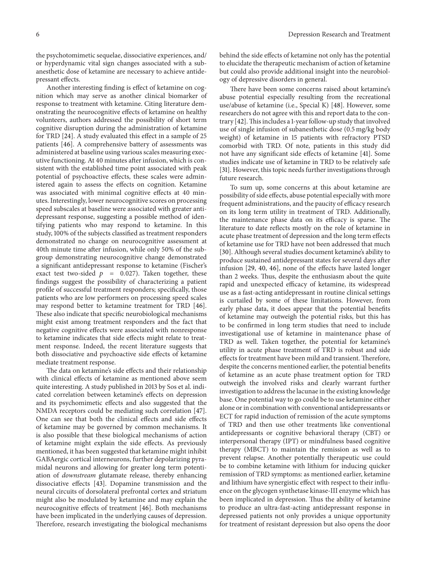the psychotomimetic sequelae, dissociative experiences, and/ or hyperdynamic vital sign changes associated with a subanesthetic dose of ketamine are necessary to achieve antidepressant effects.

Another interesting finding is effect of ketamine on cognition which may serve as another clinical biomarker of response to treatment with ketamine. Citing literature demonstrating the neurocognitive effects of ketamine on healthy volunteers, authors addressed the possibility of short term cognitive disruption during the administration of ketamine for TRD [24]. A study evaluated this effect in a sample of 25 patients [46]. A comprehensive battery of assessments was administered at baseline using various scales measuring executive functioning. At 40 minutes after infusion, which is consistent with the established time point associated with peak potential of psychoactive effects, these scales were administered again to assess the effects on cognition. Ketamine was associated with minimal cognitive effects at 40 minutes. Interestingly, lower neurocognitive scores on processing speed subscales at baseline were associated with greater antidepressant response, suggesting a possible method of identifying patients who may respond to ketamine. In this study, 100% of the subjects classified as treatment responders demonstrated no change on neurocognitive assessment at 40th minute time after infusion, while only 50% of the subgroup demonstrating neurocognitive change demonstrated a significant antidepressant response to ketamine (Fischer's exact test two-sided  $p = 0.027$ ). Taken together, these findings suggest the possibility of characterizing a patient profile of successful treatment responders; specifically, those patients who are low performers on processing speed scales may respond better to ketamine treatment for TRD [46]. These also indicate that specific neurobiological mechanisms might exist among treatment responders and the fact that negative cognitive effects were associated with nonresponse to ketamine indicates that side effects might relate to treatment response. Indeed, the recent literature suggests that both dissociative and psychoactive side effects of ketamine mediate treatment response.

The data on ketamine's side effects and their relationship with clinical effects of ketamine as mentioned above seem quite interesting. A study published in 2013 by Sos et al. indicated correlation between ketamine's effects on depression and its psychomimetic effects and also suggested that the NMDA receptors could be mediating such correlation [47]. One can see that both the clinical effects and side effects of ketamine may be governed by common mechanisms. It is also possible that these biological mechanisms of action of ketamine might explain the side effects. As previously mentioned, it has been suggested that ketamine might inhibit GABAergic cortical interneurons, further depolarizing pyramidal neurons and allowing for greater long term potentiation of *downstream* glutamate release, thereby enhancing dissociative effects [43]. Dopamine transmission and the neural circuits of dorsolateral prefrontal cortex and striatum might also be modulated by ketamine and may explain the neurocognitive effects of treatment [46]. Both mechanisms have been implicated in the underlying causes of depression. Therefore, research investigating the biological mechanisms

behind the side effects of ketamine not only has the potential to elucidate the therapeutic mechanism of action of ketamine but could also provide additional insight into the neurobiology of depressive disorders in general.

There have been some concerns raised about ketamine's abuse potential especially resulting from the recreational use/abuse of ketamine (i.e., Special K) [48]. However, some researchers do not agree with this and report data to the contrary [42].This includes a 1-year follow-up study that involved use of single infusion of subanesthetic dose (0.5 mg/kg body weight) of ketamine in 15 patients with refractory PTSD comorbid with TRD. Of note, patients in this study did not have any significant side effects of ketamine [41]. Some studies indicate use of ketamine in TRD to be relatively safe [31]. However, this topic needs further investigations through future research.

To sum up, some concerns at this about ketamine are possibility of side effects, abuse potential especially with more frequent administrations, and the paucity of efficacy research on its long term utility in treatment of TRD. Additionally, the maintenance phase data on its efficacy is sparse. The literature to date reflects mostly on the role of ketamine in acute phase treatment of depression and the long term effects of ketamine use for TRD have not been addressed that much [30]. Although several studies document ketamine's ability to produce sustained antidepressant states for several days after infusion [29, 40, 46], none of the effects have lasted longer than 2 weeks. Thus, despite the enthusiasm about the quite rapid and unexpected efficacy of ketamine, its widespread use as a fast-acting antidepressant in routine clinical settings is curtailed by some of these limitations. However, from early phase data, it does appear that the potential benefits of ketamine may outweigh the potential risks, but this has to be confirmed in long term studies that need to include investigational use of ketamine in maintenance phase of TRD as well. Taken together, the potential for ketamine's utility in acute phase treatment of TRD is robust and side effects for treatment have been mild and transient. Therefore, despite the concerns mentioned earlier, the potential benefits of ketamine as an acute phase treatment option for TRD outweigh the involved risks and clearly warrant further investigation to address the lacunae in the existing knowledge base. One potential way to go could be to use ketamine either alone or in combination with conventional antidepressants or ECT for rapid induction of remission of the acute symptoms of TRD and then use other treatments like conventional antidepressants or cognitive behavioral therapy (CBT) or interpersonal therapy (IPT) or mindfulness based cognitive therapy (MBCT) to maintain the remission as well as to prevent relapse. Another potentially therapeutic use could be to combine ketamine with lithium for inducing quicker remission of TRD symptoms: as mentioned earlier, ketamine and lithium have synergistic effect with respect to their influence on the glycogen synthetase kinase-III enzyme which has been implicated in depression. Thus the ability of ketamine to produce an ultra-fast-acting antidepressant response in depressed patients not only provides a unique opportunity for treatment of resistant depression but also opens the door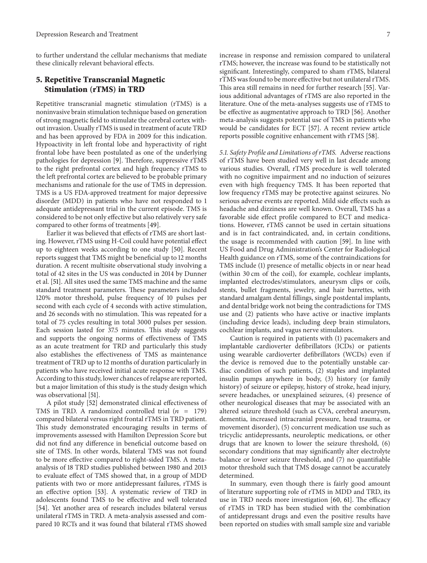to further understand the cellular mechanisms that mediate these clinically relevant behavioral effects.

## **5. Repetitive Transcranial Magnetic Stimulation (rTMS) in TRD**

Repetitive transcranial magnetic stimulation (rTMS) is a noninvasive brain stimulation technique based on generation of strong magnetic field to stimulate the cerebral cortex without invasion. Usually rTMS is used in treatment of acute TRD and has been approved by FDA in 2009 for this indication. Hypoactivity in left frontal lobe and hyperactivity of right frontal lobe have been postulated as one of the underlying pathologies for depression [9]. Therefore, suppressive rTMS to the right prefrontal cortex and high frequency rTMS to the left prefrontal cortex are believed to be probable primary mechanisms and rationale for the use of TMS in depression. TMS is a US FDA-approved treatment for major depressive disorder (MDD) in patients who have not responded to 1 adequate antidepressant trial in the current episode. TMS is considered to be not only effective but also relatively very safe compared to other forms of treatments [49].

Earlier it was believed that effects of rTMS are short lasting. However, rTMS using H-Coil could have potential effect up to eighteen weeks according to one study [50]. Recent reports suggest that TMS might be beneficial up to 12 months duration. A recent multisite observational study involving a total of 42 sites in the US was conducted in 2014 by Dunner et al. [51]. All sites used the same TMS machine and the same standard treatment parameters. These parameters included 120% motor threshold, pulse frequency of 10 pulses per second with each cycle of 4 seconds with active stimulation, and 26 seconds with no stimulation. This was repeated for a total of 75 cycles resulting in total 3000 pulses per session. Each session lasted for 37.5 minutes. This study suggests and supports the ongoing norms of effectiveness of TMS as an acute treatment for TRD and particularly this study also establishes the effectiveness of TMS as maintenance treatment of TRD up to 12 months of duration particularly in patients who have received initial acute response with TMS. According to this study, lower chances of relapse are reported, but a major limitation of this study is the study design which was observational [51].

A pilot study [52] demonstrated clinical effectiveness of TMS in TRD. A randomized controlled trial  $(n = 179)$ compared bilateral versus right frontal rTMS in TRD patient. This study demonstrated encouraging results in terms of improvements assessed with Hamilton Depression Score but did not find any difference in beneficial outcome based on site of TMS. In other words, bilateral TMS was not found to be more effective compared to right-sided TMS. A metaanalysis of 18 TRD studies published between 1980 and 2013 to evaluate effect of TMS showed that, in a group of MDD patients with two or more antidepressant failures, rTMS is an effective option [53]. A systematic review of TRD in adolescents found TMS to be effective and well tolerated [54]. Yet another area of research includes bilateral versus unilateral rTMS in TRD. A meta-analysis assessed and compared 10 RCTs and it was found that bilateral rTMS showed

increase in response and remission compared to unilateral rTMS; however, the increase was found to be statistically not significant. Interestingly, compared to sham rTMS, bilateral rTMS was found to be more effective but not unilateral rTMS. This area still remains in need for further research [55]. Various additional advantages of rTMS are also reported in the literature. One of the meta-analyses suggests use of rTMS to be effective as augmentative approach to TRD [56]. Another meta-analysis suggests potential use of TMS in patients who would be candidates for ECT [57]. A recent review article reports possible cognitive enhancement with rTMS [58].

*5.1. Safety Profile and Limitations of rTMS.* Adverse reactions of rTMS have been studied very well in last decade among various studies. Overall, rTMS procedure is well tolerated with no cognitive impairment and no induction of seizures even with high frequency TMS. It has been reported that low frequency rTMS may be protective against seizures. No serious adverse events are reported. Mild side effects such as headache and dizziness are well known. Overall, TMS has a favorable side effect profile compared to ECT and medications. However, rTMS cannot be used in certain situations and is in fact contraindicated, and, in certain conditions, the usage is recommended with caution [59]. In line with US Food and Drug Administration's Center for Radiological Health guidance on rTMS, some of the contraindications for TMS include (1) presence of metallic objects in or near head (within 30 cm of the coil), for example, cochlear implants, implanted electrodes/stimulators, aneurysm clips or coils, stents, bullet fragments, jewelry, and hair barrettes, with standard amalgam dental fillings, single postdental implants, and dental bridge work not being the contradictions for TMS use and (2) patients who have active or inactive implants (including device leads), including deep brain stimulators, cochlear implants, and vagus nerve stimulators.

Caution is required in patients with (1) pacemakers and implantable cardioverter defibrillators (ICDs) or patients using wearable cardioverter defibrillators (WCDs) even if the device is removed due to the potentially unstable cardiac condition of such patients, (2) staples and implanted insulin pumps anywhere in body, (3) history (or family history) of seizure or epilepsy, history of stroke, head injury, severe headaches, or unexplained seizures, (4) presence of other neurological diseases that may be associated with an altered seizure threshold (such as CVA, cerebral aneurysm, dementia, increased intracranial pressure, head trauma, or movement disorder), (5) concurrent medication use such as tricyclic antidepressants, neuroleptic medications, or other drugs that are known to lower the seizure threshold, (6) secondary conditions that may significantly alter electrolyte balance or lower seizure threshold, and (7) no quantifiable motor threshold such that TMS dosage cannot be accurately determined.

In summary, even though there is fairly good amount of literature supporting role of rTMS in MDD and TRD, its use in TRD needs more investigation [60, 61]. The efficacy of rTMS in TRD has been studied with the combination of antidepressant drugs and even the positive results have been reported on studies with small sample size and variable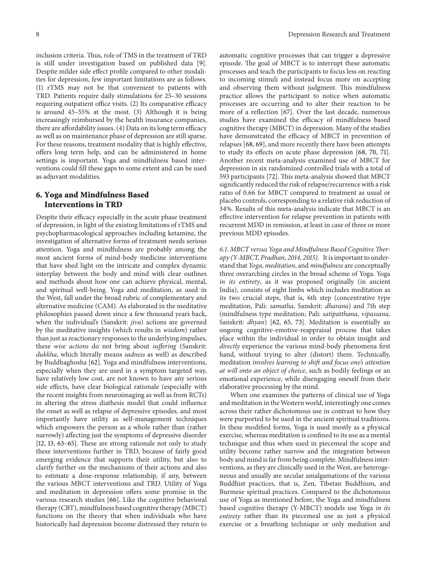inclusion criteria. Thus, role of TMS in the treatment of TRD is still under investigation based on published data [9]. Despite milder side effect profile compared to other modalities for depression, few important limitations are as follows. (1) rTMS may not be that convenient to patients with TRD. Patients require daily stimulations for 25–30 sessions requiring outpatient office visits. (2) Its comparative efficacy is around 45–55% at the most. (3) Although it is being increasingly reimbursed by the health insurance companies, there are affordability issues. (4) Data on its long term efficacy as well as on maintenance phase of depression are still sparse. For these reasons, treatment modality that is highly effective, offers long term help, and can be administered in home settings is important. Yoga and mindfulness based interventions could fill these gaps to some extent and can be used as adjuvant modalities.

## **6. Yoga and Mindfulness Based Interventions in TRD**

Despite their efficacy especially in the acute phase treatment of depression, in light of the existing limitations of rTMS and psychopharmacological approaches including ketamine, the investigation of alternative forms of treatment needs serious attention. Yoga and mindfulness are probably among the most ancient forms of mind-body medicine interventions that have shed light on the intricate and complex dynamic interplay between the body and mind with clear outlines and methods about how one can achieve physical, mental, and spiritual well-being. Yoga and meditation, as used in the West, fall under the broad rubric of complementary and alternative medicine (CAM). As elaborated in the meditative philosophies passed down since a few thousand years back, when the individual's (Sanskrit: *jiva*) actions are governed by the meditative insights (which results in *wisdom*) rather than just as reactionary responses to the underlying impulses, these *wise actions* do not bring about *suffering* (Sanskrit: *dukkha*, which literally means *sadness* as well) as described by Buddhaghosha [62]. Yoga and mindfulness interventions, especially when they are used in a symptom targeted way, have relatively low cost, are not known to have any serious side effects, have clear biological rationale (especially with the recent insights from neuroimaging as well as from RCTs) in altering the stress diathesis model that could influence the onset as well as relapse of depressive episodes, and most importantly have utility as self-management techniques which empowers the person as a whole rather than (rather narrowly) affecting just the symptoms of depressive disorder [12, 13, 63–65]. These are strong rationale not only to study these interventions further in TRD, because of fairly good emerging evidence that supports their utility, but also to clarify further on the mechanisms of their actions and also to estimate a dose-response relationship, if any, between the various MBCT interventions and TRD. Utility of Yoga and meditation in depression offers some promise in the various research studies [66]. Like the cognitive behavioral therapy (CBT), mindfulness based cognitive therapy (MBCT) functions on the theory that when individuals who have historically had depression become distressed they return to

automatic cognitive processes that can trigger a depressive episode. The goal of MBCT is to interrupt these automatic processes and teach the participants to focus less on reacting to incoming stimuli and instead focus more on accepting and observing them without judgment. This mindfulness practice allows the participant to notice when automatic processes are occurring and to alter their reaction to be more of a reflection [67]. Over the last decade, numerous studies have examined the efficacy of mindfulness based cognitive therapy (MBCT) in depression. Many of the studies have demonstrated the efficacy of MBCT in prevention of relapses [68, 69], and more recently there have been attempts to study its effects on acute phase depression [68, 70, 71]. Another recent meta-analysis examined use of MBCT for depression in six randomized controlled trials with a total of 593 participants [72]. This meta-analysis showed that MBCT significantly reduced the risk of relapse/recurrence with a risk ratio of 0.66 for MBCT compared to treatment as usual or placebo controls, corresponding to a relative risk reduction of 34%. Results of this meta-analysis indicate that MBCT is an effective intervention for relapse prevention in patients with recurrent MDD in remission, at least in case of three or more previous MDD episodes.

*6.1. MBCT versus Yoga and Mindfulness Based Cognitive Therapy (Y-MBCT, Pradhan, 2014, 2015).* It is important to understand that *Yoga*, *meditation*, and *mindfulness* are conceptually three overarching circles in the broad scheme of Yoga. Yoga *in its entirety*, as it was proposed originally (in ancient India), consists of eight limbs which includes meditation as its two crucial steps, that is, 6th step (concentrative type meditation, Pali: *samatha*, Sanskrit: *dharana*) and 7th step (mindfulness type meditation; Pali: *satipatthana*, *vipassana,* Sanskrit: *dhyan*) [62, 65, 73]. Meditation is essentially an ongoing cognitive-emotive-reappraisal process that takes place within the individual in order to obtain insight and *directly* experience the various mind-body phenomena first hand, without trying to alter (distort) them. Technically, meditation *involves learning to shift and focus one's attention at will onto an object of choice*, such as bodily feelings or an emotional experience, while disengaging oneself from their elaborative processing by the mind.

When one examines the patterns of clinical use of Yoga and meditation in the Western world, interestingly one comes across their rather dichotomous use in contrast to how they were purported to be used in the ancient spiritual traditions. In these modified forms, Yoga is used mostly as a physical exercise, whereas meditation is confined to its use as a mental technique and thus when used in piecemeal the scope and utility become rather narrow and the integration between body and mind is far from being complete. Mindfulness interventions, as they are clinically used in the West, are heterogeneous and usually are secular amalgamations of the various Buddhist practices, that is, Zen, Tibetan Buddhism, and Burmese spiritual practices. Compared to the dichotomous use of Yoga as mentioned before, the Yoga and mindfulness based cognitive therapy (Y-MBCT) models use Yoga *in its entirety* rather than its piecemeal use as just a physical exercise or a breathing technique or only mediation and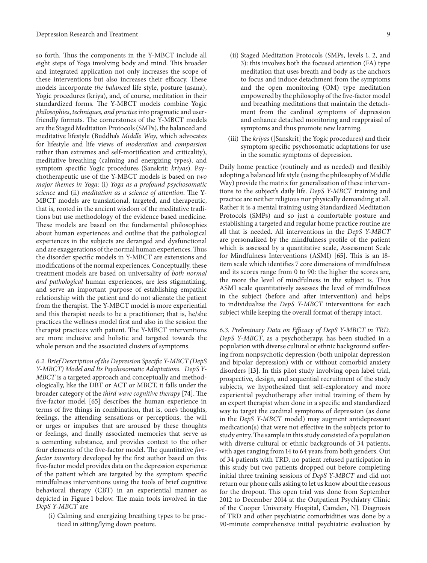so forth. Thus the components in the Y-MBCT include all eight steps of Yoga involving body and mind. This broader and integrated application not only increases the scope of these interventions but also increases their efficacy. These models incorporate *the balanced* life style, posture (asana), Yogic procedures (kriya), and, of course, meditation in their standardized forms. The Y-MBCT models combine Yogic *philosophies*, *techniques*, *and practice* into pragmatic and userfriendly formats. The cornerstones of the Y-MBCT models are the Staged Meditation Protocols (SMPs), the balanced and meditative lifestyle (Buddha's *Middle Way*, which advocates for lifestyle and life views of *moderation* and *compassion* rather than extremes and self-mortification and criticality), meditative breathing (calming and energizing types), and symptom specific Yogic procedures (Sanskrit: *kriyas*). Psychotherapeutic use of the Y-MBCT models is based on *two major themes in Yoga*: (i) *Yoga as a profound psychosomatic science* and (ii) *meditation as a science of attention*. The Y-MBCT models are translational, targeted, and therapeutic, that is, rooted in the ancient wisdom of the meditative traditions but use methodology of the evidence based medicine. These models are based on the fundamental philosophies about human experiences and outline that the pathological experiences in the subjects are deranged and dysfunctional and are exaggerations of the normal human experiences.Thus the disorder specific models in Y-MBCT are extensions and modifications of the normal experiences. Conceptually, these treatment models are based on universality of *both normal and pathological* human experiences, are less stigmatizing, and serve an important purpose of establishing empathic relationship with the patient and do not alienate the patient from the therapist. The Y-MBCT model is more experiential and this therapist needs to be a practitioner; that is, he/she practices the wellness model first and also in the session the therapist practices with patient. The Y-MBCT interventions are more inclusive and holistic and targeted towards the whole person and the associated clusters of symptoms.

*6.2. Brief Description of the Depression Specific Y-MBCT (DepS Y-MBCT) Model and Its Psychosomatic Adaptations. DepS Y-MBCT* is a targeted approach and conceptually and methodologically, like the DBT or ACT or MBCT, it falls under the broader category of the *third wave cognitive therapy* [74]. The five-factor model [65] describes the human experience in terms of five things in combination, that is, one's thoughts, feelings, the attending sensations or perceptions, the will or urges or impulses that are aroused by these thoughts or feelings, and finally associated memories that serve as a cementing substance, and provides context to the other four elements of the five-factor model. The quantitative *fivefactor inventory* developed by the first author based on this five-factor model provides data on the depression experience of the patient which are targeted by the symptom specific mindfulness interventions using the tools of brief cognitive behavioral therapy (CBT) in an experiential manner as depicted in Figure 1 below. The main tools involved in the *DepS Y-MBCT* are

(i) Calming and energizing breathing types to be practiced in sitting/lying down posture.

- (ii) Staged Meditation Protocols (SMPs, levels 1, 2, and 3): this involves both the focused attention (FA) type meditation that uses breath and body as the anchors to focus and induce detachment from the symptoms and the open monitoring (OM) type meditation empowered by the philosophy of the five-factor model and breathing meditations that maintain the detachment from the cardinal symptoms of depression and enhance detached monitoring and reappraisal of symptoms and thus promote new learning.
- (iii) The *kriyas* ([Sanskrit] the Yogic procedures) and their symptom specific psychosomatic adaptations for use in the somatic symptoms of depression.

Daily home practice (routinely and as needed) and flexibly adopting a balanced life style (using the philosophy of Middle Way) provide the matrix for generalization of these interventions to the subject's daily life. *DepS Y-MBCT* training and practice are neither religious nor physically demanding at all. Rather it is a mental training using Standardized Meditation Protocols (SMPs) and so just a comfortable posture and establishing a targeted and regular home practice routine are all that is needed. All interventions in the *DepS Y-MBCT* are personalized by the mindfulness profile of the patient which is assessed by a quantitative scale, Assessment Scale for Mindfulness Interventions (ASMI) [65]. This is an 18 item scale which identifies 7 core dimensions of mindfulness and its scores range from 0 to 90: the higher the scores are, the more the level of mindfulness in the subject is. Thus ASMI scale quantitatively assesses the level of mindfulness in the subject (before and after intervention) and helps to individualize the *DepS Y-MBCT* interventions for each subject while keeping the overall format of therapy intact.

*6.3. Preliminary Data on Efficacy of DepS Y-MBCT in TRD. DepS Y-MBCT*, as a psychotherapy, has been studied in a population with diverse cultural or ethnic background suffering from nonpsychotic depression (both unipolar depression and bipolar depression) with or without comorbid anxiety disorders [13]. In this pilot study involving open label trial, prospective, design, and sequential recruitment of the study subjects, we hypothesized that self-exploratory and more experiential psychotherapy after initial training of them by an expert therapist when done in a specific and standardized way to target the cardinal symptoms of depression (as done in the *DepS Y-MBCT* model) may augment antidepressant medication(s) that were not effective in the subjects prior to study entry.The sample in this study consisted of a population with diverse cultural or ethnic backgrounds of 34 patients, with ages ranging from 14 to 64 years from both genders. Out of 34 patients with TRD, no patient refused participation in this study but two patients dropped out before completing initial three training sessions of *DepS Y-MBCT* and did not return our phone calls asking to let us know about the reasons for the dropout. This open trial was done from September 2012 to December 2014 at the Outpatient Psychiatry Clinic of the Cooper University Hospital, Camden, NJ. Diagnosis of TRD and other psychiatric comorbidities was done by a 90-minute comprehensive initial psychiatric evaluation by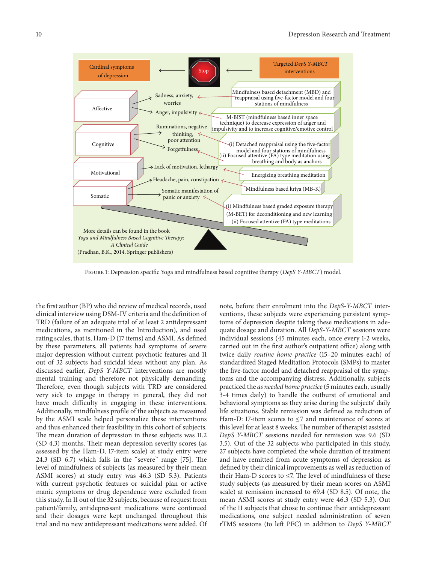

Figure 1: Depression specific Yoga and mindfulness based cognitive therapy (*DepS Y-MBCT*) model.

the first author (BP) who did review of medical records, used clinical interview using DSM-IV criteria and the definition of TRD (failure of an adequate trial of at least 2 antidepressant medications, as mentioned in the Introduction), and used rating scales, that is, Ham-D (17 items) and ASMI. As defined by these parameters, all patients had symptoms of severe major depression without current psychotic features and 11 out of 32 subjects had suicidal ideas without any plan. As discussed earlier, *DepS Y-MBCT* interventions are mostly mental training and therefore not physically demanding. Therefore, even though subjects with TRD are considered very sick to engage in therapy in general, they did not have much difficulty in engaging in these interventions. Additionally, mindfulness profile of the subjects as measured by the ASMI scale helped personalize these interventions and thus enhanced their feasibility in this cohort of subjects. The mean duration of depression in these subjects was 11.2 (SD 4.3) months. Their mean depression severity scores (as assessed by the Ham-D, 17-item scale) at study entry were 24.3 (SD 6.7) which falls in the "severe" range [75]. The level of mindfulness of subjects (as measured by their mean ASMI scores) at study entry was 46.3 (SD 5.3). Patients with current psychotic features or suicidal plan or active manic symptoms or drug dependence were excluded from this study. In 11 out of the 32 subjects, because of request from patient/family, antidepressant medications were continued and their dosages were kept unchanged throughout this trial and no new antidepressant medications were added. Of note, before their enrolment into the *DepS-Y-MBCT* interventions, these subjects were experiencing persistent symptoms of depression despite taking these medications in adequate dosage and duration. All *DepS-Y-MBCT* sessions were individual sessions (45 minutes each, once every 1-2 weeks, carried out in the first author's outpatient office) along with twice daily *routine home practice* (15–20 minutes each) of standardized Staged Meditation Protocols (SMPs) to master the five-factor model and detached reappraisal of the symptoms and the accompanying distress. Additionally, subjects practiced the *as needed home practice* (5 minutes each, usually 3-4 times daily) to handle the outburst of emotional and behavioral symptoms as they arise during the subjects' daily life situations. Stable remission was defined as reduction of Ham-D: 17-item scores to ≤7 and maintenance of scores at this level for at least 8 weeks. The number of therapist assisted *DepS Y-MBCT* sessions needed for remission was 9.6 (SD 3.5). Out of the 32 subjects who participated in this study, 27 subjects have completed the whole duration of treatment and have remitted from acute symptoms of depression as defined by their clinical improvements as well as reduction of their Ham-D scores to  $\leq$ 7. The level of mindfulness of these study subjects (as measured by their mean scores on ASMI scale) at remission increased to 69.4 (SD 8.5). Of note, the mean ASMI scores at study entry were 46.3 (SD 5.3). Out of the 11 subjects that chose to continue their antidepressant medications, one subject needed administration of seven rTMS sessions (to left PFC) in addition to *DepS Y-MBCT*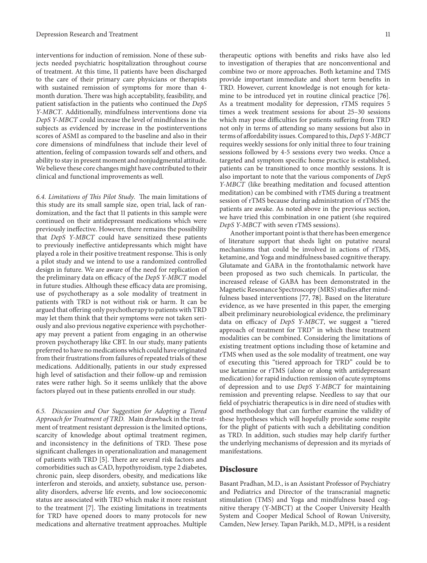interventions for induction of remission. None of these subjects needed psychiatric hospitalization throughout course of treatment. At this time, 11 patients have been discharged to the care of their primary care physicians or therapists with sustained remission of symptoms for more than 4 month duration. There was high acceptability, feasibility, and patient satisfaction in the patients who continued the *DepS Y-MBCT*. Additionally, mindfulness interventions done via *DepS Y-MBCT* could increase the level of mindfulness in the subjects as evidenced by increase in the postinterventions scores of ASMI as compared to the baseline and also in their core dimensions of mindfulness that include their level of attention, feeling of compassion towards self and others, and ability to stay in present moment and nonjudgmental attitude. We believe these core changes might have contributed to their clinical and functional improvements as well.

*6.4. Limitations of This Pilot Study.* The main limitations of this study are its small sample size, open trial, lack of randomization, and the fact that 11 patients in this sample were continued on their antidepressant medications which were previously ineffective. However, there remains the possibility that *DepS Y-MBCT* could have sensitized these patients to previously ineffective antidepressants which might have played a role in their positive treatment response. This is only a pilot study and we intend to use a randomized controlled design in future. We are aware of the need for replication of the preliminary data on efficacy of the *DepS Y-MBCT* model in future studies. Although these efficacy data are promising, use of psychotherapy as a sole modality of treatment in patients with TRD is not without risk or harm. It can be argued that offering only psychotherapy to patients with TRD may let them think that their symptoms were not taken seriously and also previous negative experience with psychotherapy may prevent a patient from engaging in an otherwise proven psychotherapy like CBT. In our study, many patients preferred to have no medications which could have originated from their frustrations from failures of repeated trials of these medications. Additionally, patients in our study expressed high level of satisfaction and their follow-up and remission rates were rather high. So it seems unlikely that the above factors played out in these patients enrolled in our study.

*6.5. Discussion and Our Suggestion for Adopting a Tiered Approach for Treatment of TRD.* Main drawback in the treatment of treatment resistant depression is the limited options, scarcity of knowledge about optimal treatment regimen, and inconsistency in the definitions of TRD. These pose significant challenges in operationalization and management of patients with TRD [5]. There are several risk factors and comorbidities such as CAD, hypothyroidism, type 2 diabetes, chronic pain, sleep disorders, obesity, and medications like interferon and steroids, and anxiety, substance use, personality disorders, adverse life events, and low socioeconomic status are associated with TRD which make it more resistant to the treatment [7]. The existing limitations in treatments for TRD have opened doors to many protocols for new medications and alternative treatment approaches. Multiple therapeutic options with benefits and risks have also led to investigation of therapies that are nonconventional and combine two or more approaches. Both ketamine and TMS provide important immediate and short term benefits in TRD. However, current knowledge is not enough for ketamine to be introduced yet in routine clinical practice [76]. As a treatment modality for depression, rTMS requires 5 times a week treatment sessions for about 25–30 sessions which may pose difficulties for patients suffering from TRD not only in terms of attending so many sessions but also in terms of affordability issues. Compared to this, *DepS Y-MBCT* requires weekly sessions for only initial three to four training sessions followed by 4-5 sessions every two weeks. Once a targeted and symptom specific home practice is established, patients can be transitioned to once monthly sessions. It is also important to note that the various components of *DepS Y-MBCT* (like breathing meditation and focused attention meditation) can be combined with rTMS during a treatment session of rTMS because during administration of rTMS the patients are awake. As noted above in the previous section, we have tried this combination in one patient (she required *DepS Y-MBCT* with seven rTMS sessions).

Another important point is that there has been emergence of literature support that sheds light on putative neural mechanisms that could be involved in actions of rTMS, ketamine, and Yoga and mindfulness based cognitive therapy. Glutamate and GABA in the frontothalamic network have been proposed as two such chemicals. In particular, the increased release of GABA has been demonstrated in the Magnetic Resonance Spectroscopy (MRS) studies after mindfulness based interventions [77, 78]. Based on the literature evidence, as we have presented in this paper, the emerging albeit preliminary neurobiological evidence, the preliminary data on efficacy of *DepS Y-MBCT*, we suggest a "tiered approach of treatment for TRD" in which these treatment modalities can be combined. Considering the limitations of existing treatment options including those of ketamine and rTMS when used as the sole modality of treatment, one way of executing this "tiered approach for TRD" could be to use ketamine or rTMS (alone or along with antidepressant medication) for rapid induction remission of acute symptoms of depression and to use *DepS Y-MBCT* for maintaining remission and preventing relapse. Needless to say that our field of psychiatric therapeutics is in dire need of studies with good methodology that can further examine the validity of these hypotheses which will hopefully provide some respite for the plight of patients with such a debilitating condition as TRD. In addition, such studies may help clarify further the underlying mechanisms of depression and its myriads of manifestations.

#### **Disclosure**

Basant Pradhan, M.D., is an Assistant Professor of Psychiatry and Pediatrics and Director of the transcranial magnetic stimulation (TMS) and Yoga and mindfulness based cognitive therapy (Y-MBCT) at the Cooper University Health System and Cooper Medical School of Rowan University, Camden, New Jersey. Tapan Parikh, M.D., MPH, is a resident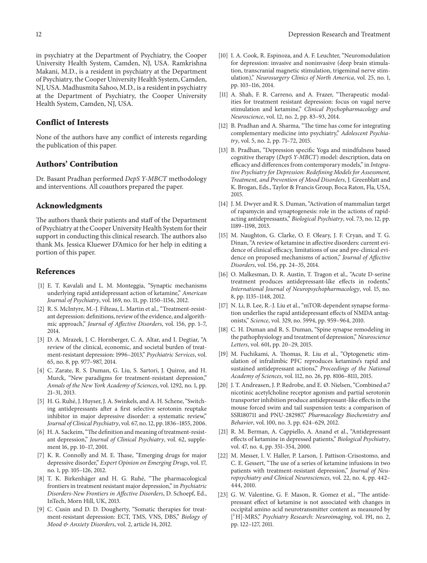in psychiatry at the Department of Psychiatry, the Cooper University Health System, Camden, NJ, USA. Ramkrishna Makani, M.D., is a resident in psychiatry at the Department of Psychiatry, the Cooper University Health System, Camden, NJ, USA. Madhusmita Sahoo, M.D., is a resident in psychiatry at the Department of Psychiatry, the Cooper University Health System, Camden, NJ, USA.

#### **Conflict of Interests**

None of the authors have any conflict of interests regarding the publication of this paper.

## **Authors' Contribution**

Dr. Basant Pradhan performed *DepS Y-MBCT* methodology and interventions. All coauthors prepared the paper.

#### **Acknowledgments**

The authors thank their patients and staff of the Department of Psychiatry at the Cooper University Health System for their support in conducting this clinical research. The authors also thank Ms. Jessica Kluewer D'Amico for her help in editing a portion of this paper.

#### **References**

- [1] E. T. Kavalali and L. M. Monteggia, "Synaptic mechanisms underlying rapid antidepressant action of ketamine," *American Journal of Psychiatry*, vol. 169, no. 11, pp. 1150–1156, 2012.
- [2] R. S. McIntyre, M.-J. Filteau, L. Martin et al., "Treatment-resistant depression: definitions, review of the evidence, and algorithmic approach," *Journal of Affective Disorders*, vol. 156, pp. 1–7, 2014.
- [3] D. A. Mrazek, J. C. Hornberger, C. A. Altar, and I. Degtiar, "A review of the clinical, economic, and societal burden of treatment-resistant depression: 1996–2013," *Psychiatric Services*, vol. 65, no. 8, pp. 977–987, 2014.
- [4] C. Zarate, R. S. Duman, G. Liu, S. Sartori, J. Quiroz, and H. Murck, "New paradigms for treatment-resistant depression," *Annals of the New York Academy of Sciences*, vol. 1292, no. 1, pp. 21–31, 2013.
- [5] H. G. Ruhé, J. Huyser, J. A. Swinkels, and A. H. Schene, "Switching antidepressants after a first selective serotonin reuptake inhibitor in major depressive disorder: a systematic review," *Journal of Clinical Psychiatry*, vol. 67, no. 12, pp. 1836–1855, 2006.
- [6] H. A. Sackeim, "The definition and meaning of treatment-resistant depression," *Journal of Clinical Psychiatry*, vol. 62, supplement 16, pp. 10–17, 2001.
- [7] K. R. Connolly and M. E. Thase, "Emerging drugs for major depressive disorder," *Expert Opinion on Emerging Drugs*, vol. 17, no. 1, pp. 105–126, 2012.
- [8] T. K. Birkenhäger and H. G. Ruhé, "The pharmacological frontiers in treatment resistant major depression," in *Psychiatric Disorders-New Frontiers in Affective Disorders*, D. Schoepf, Ed., InTech, Morn Hill, UK, 2013.
- [9] C. Cusin and D. D. Dougherty, "Somatic therapies for treatment-resistant depression: ECT, TMS, VNS, DBS," *Biology of Mood & Anxiety Disorders*, vol. 2, article 14, 2012.
- [10] I. A. Cook, R. Espinoza, and A. F. Leuchter, "Neuromodulation for depression: invasive and noninvasive (deep brain stimulation, transcranial magnetic stimulation, trigeminal nerve stimulation)," *Neurosurgery Clinics of North America*, vol. 25, no. 1, pp. 103–116, 2014.
- [11] A. Shah, F. R. Carreno, and A. Frazer, "Therapeutic modalities for treatment resistant depression: focus on vagal nerve stimulation and ketamine," *Clinical Psychopharmacology and Neuroscience*, vol. 12, no. 2, pp. 83–93, 2014.
- [12] B. Pradhan and A. Sharma, "The time has come for integrating complementary medicine into psychiatry," *Adolescent Psychiatry*, vol. 5, no. 2, pp. 71–72, 2015.
- [13] B. Pradhan, "Depression specific Yoga and mindfulness based cognitive therapy (*DepS Y-MBCT*) model: description, data on efficacy and differences from contemporary models," in *Integrative Psychiatry for Depression: Redefining Models for Assessment, Treatment, and Prevention of Mood Disorders*, J. Greenblatt and K. Brogan, Eds., Taylor & Francis Group, Boca Raton, Fla, USA, 2015.
- [14] J. M. Dwyer and R. S. Duman, "Activation of mammalian target of rapamycin and synaptogenesis: role in the actions of rapidacting antidepressants," *Biological Psychiatry*, vol. 73, no. 12, pp. 1189–1198, 2013.
- [15] M. Naughton, G. Clarke, O. F. Oleary, J. F. Cryan, and T. G. Dinan, "A review of ketamine in affective disorders: current evidence of clinical efficacy, limitations of use and pre-clinical evidence on proposed mechanisms of action," *Journal of Affective Disorders*, vol. 156, pp. 24–35, 2014.
- [16] O. Malkesman, D. R. Austin, T. Tragon et al., "Acute D-serine treatment produces antidepressant-like effects in rodents," *International Journal of Neuropsychopharmacology*, vol. 15, no. 8, pp. 1135–1148, 2012.
- [17] N. Li, B. Lee, R.-J. Liu et al., "mTOR-dependent synapse formation underlies the rapid antidepressant effects of NMDA antagonists," *Science*, vol. 329, no. 5994, pp. 959–964, 2010.
- [18] C. H. Duman and R. S. Duman, "Spine synapse remodeling in the pathophysiology and treatment of depression," *Neuroscience Letters*, vol. 601, pp. 20–29, 2015.
- [19] M. Fuchikami, A. Thomas, R. Liu et al., "Optogenetic stimulation of infralimbic PFC reproduces ketamine's rapid and sustained antidepressant actions," *Proceedings of the National Academy of Sciences*, vol. 112, no. 26, pp. 8106–8111, 2015.
- [20] J. T. Andreasen, J. P. Redrobe, and E. Ø. Nielsen, "Combined  $\alpha$ 7 nicotinic acetylcholine receptor agonism and partial serotonin transporter inhibition produce antidepressant-like effects in the mouse forced swim and tail suspension tests: a comparison of SSR180711 and PNU-282987," *Pharmacology Biochemistry and Behavior*, vol. 100, no. 3, pp. 624–629, 2012.
- [21] R. M. Berman, A. Cappiello, A. Anand et al., "Antidepressant effects of ketamine in depressed patients," *Biological Psychiatry*, vol. 47, no. 4, pp. 351–354, 2000.
- [22] M. Messer, I. V. Haller, P. Larson, J. Pattison-Crisostomo, and C. E. Gessert, "The use of a series of ketamine infusions in two patients with treatment-resistant depression," *Journal of Neuropsychiatry and Clinical Neurosciences*, vol. 22, no. 4, pp. 442– 444, 2010.
- [23] G. W. Valentine, G. F. Mason, R. Gomez et al., "The antidepressant effect of ketamine is not associated with changes in occipital amino acid neurotransmitter content as measured by [ 1 H]-MRS," *Psychiatry Research: Neuroimaging*, vol. 191, no. 2, pp. 122–127, 2011.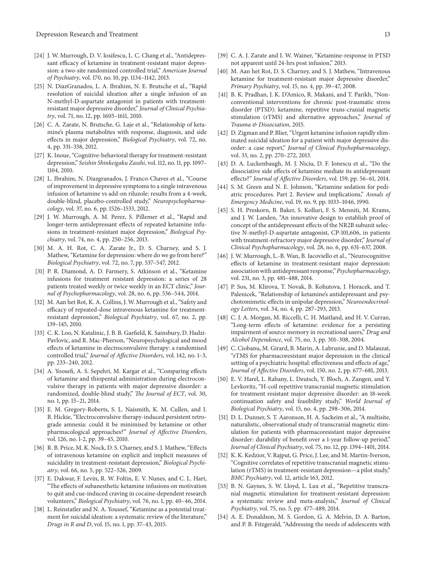- [24] J. W. Murrough, D. V. Iosifescu, L. C. Chang et al., "Antidepressant efficacy of ketamine in treatment-resistant major depression: a two-site randomized controlled trial," *American Journal of Psychiatry*, vol. 170, no. 10, pp. 1134–1142, 2013.
- [25] N. DiazGranados, L. A. Ibrahim, N. E. Brutsche et al., "Rapid resolution of suicidal ideation after a single infusion of an N-methyl-D-aspartate antagonist in patients with treatmentresistant major depressive disorder," *Journal of Clinical Psychiatry*, vol. 71, no. 12, pp. 1605–1611, 2010.
- [26] C. A. Zarate, N. Brutsche, G. Laje et al., "Relationship of ketamine's plasma metabolites with response, diagnosis, and side effects in major depression," *Biological Psychiatry*, vol. 72, no. 4, pp. 331–338, 2012.
- [27] K. Inoue, "Cognitive-behavioral therapy for treatment-resistant depression," *Seishin Shinkeigaku Zasshi*, vol. 112, no. 11, pp. 1097– 1104, 2010.
- [28] L. Ibrahim, N. Diazgranados, J. Franco-Chaves et al., "Course of improvement in depressive symptoms to a single intravenous infusion of ketamine vs add-on riluzole: results from a 4-week, double-blind, placebo-controlled study," *Neuropsychopharmacology*, vol. 37, no. 6, pp. 1526–1533, 2012.
- [29] J. W. Murrough, A. M. Perez, S. Pillemer et al., "Rapid and longer-term antidepressant effects of repeated ketamine infusions in treatment-resistant major depression," *Biological Psychiatry*, vol. 74, no. 4, pp. 250–256, 2013.
- [30] M. A. H. Rot, C. A. Zarate Jr., D. S. Charney, and S. J. Mathew, "Ketamine for depression: where do we go from here?" *Biological Psychiatry*, vol. 72, no. 7, pp. 537–547, 2012.
- [31] P. R. Diamond, A. D. Farmery, S. Atkinson et al., "Ketamine infusions for treatment resistant depression: a series of 28 patients treated weekly or twice weekly in an ECT clinic," *Journal of Psychopharmacology*, vol. 28, no. 6, pp. 536–544, 2014.
- [32] M. Aan het Rot, K. A. Collins, J. W. Murrough et al., "Safety and efficacy of repeated-dose intravenous ketamine for treatmentresistant depression," *Biological Psychiatry*, vol. 67, no. 2, pp. 139–145, 2010.
- [33] C. K. Loo, N. Katalinic, J. B. B. Garfield, K. Sainsbury, D. Hadzi-Pavlovic, and R. Mac-Pherson, "Neuropsychological and mood effects of ketamine in electroconvulsive therapy: a randomised controlled trial," *Journal of Affective Disorders*, vol. 142, no. 1–3, pp. 233–240, 2012.
- [34] A. Yoosefi, A. S. Sepehri, M. Kargar et al., "Comparing effects of ketamine and thiopental administration during electroconvulsive therapy in patients with major depressive disorder: a randomized, double-blind study," *The Journal of ECT*, vol. 30, no. 1, pp. 15–21, 2014.
- [35] E. M. Gregory-Roberts, S. L. Naismith, K. M. Cullen, and I. B. Hickie, "Electroconvulsive therapy-induced persistent retrograde amnesia: could it be minimised by ketamine or other pharmacological approaches?" *Journal of Affective Disorders*, vol. 126, no. 1-2, pp. 39–45, 2010.
- [36] R. B. Price, M. K. Nock, D. S. Charney, and S. J. Mathew, "Effects of intravenous ketamine on explicit and implicit measures of suicidality in treatment-resistant depression," *Biological Psychiatry*, vol. 66, no. 5, pp. 522–526, 2009.
- [37] E. Dakwar, F. Levin, R. W. Foltin, E. V. Nunes, and C. L. Hart, "The effects of subanesthetic ketamine infusions on motivation to quit and cue-induced craving in cocaine-dependent research volunteers," *Biological Psychiatry*, vol. 76, no. 1, pp. 40–46, 2014.
- [38] L. Reinstatler and N. A. Youssef, "Ketamine as a potential treatment for suicidal ideation: a systematic review of the literature," *Drugs in R and D*, vol. 15, no. 1, pp. 37–43, 2015.
- [39] C. A. J. Zarate and I. W. Wainer, "Ketamine-response in PTSD not apparent until 24-hrs post infusion," 2013.
- [40] M. Aan het Rot, D. S. Charney, and S. J. Mathew, "Intravenous ketamine for treatment-resistant major depressive disorder," *Primary Psychiatry*, vol. 15, no. 4, pp. 39–47, 2008.
- [41] B. K. Pradhan, J. K. D'Amico, R. Makani, and T. Parikh, "Nonconventional interventions for chronic post-traumatic stress disorder (PTSD): ketamine, repetitive trans-cranial magnetic stimulation (rTMS) and alternative approaches," *Journal of Trauma & Dissociation*, 2015.
- [42] D. Zigman and P. Blier, "Urgent ketamine infusion rapidly eliminated suicidal ideation for a patient with major depressive disorder: a case report," *Journal of Clinical Psychopharmacology*, vol. 33, no. 2, pp. 270–272, 2013.
- [43] D. A. Luckenbaugh, M. J. Niciu, D. F. Ionescu et al., "Do the dissociative side effects of ketamine mediate its antidepressant effects?" *Journal of Affective Disorders*, vol. 159, pp. 56–61, 2014.
- [44] S. M. Green and N. E. Johnson, "Ketamine sedation for pediatric procedures. Part 2. Review and implications," *Annals of Emergency Medicine*, vol. 19, no. 9, pp. 1033–1046, 1990.
- [45] S. H. Preskorn, B. Baker, S. Kolluri, F. S. Menniti, M. Krams, and J. W. Landen, "An innovative design to establish proof of concept of the antidepressant effects of the NR2B subunit selective N-methyl-D-aspartate antagonist, CP-101,606, in patients with treatment-refractory major depressive disorder," *Journal of Clinical Psychopharmacology*, vol. 28, no. 6, pp. 631–637, 2008.
- [46] J. W. Murrough, L.-B. Wan, B. Iacoviello et al., "Neurocognitive effects of ketamine in treatment-resistant major depression: association with antidepressant response," *Psychopharmacology*, vol. 231, no. 3, pp. 481–488, 2014.
- [47] P. Sos, M. Klirova, T. Novak, B. Kohutova, J. Horacek, and T. Palenicek, "Relationship of ketamine's antidepressant and psychotomimetic effects in unipolar depression," *Neuroendocrinology Letters*, vol. 34, no. 4, pp. 287–293, 2013.
- [48] C. J. A. Morgan, M. Riccelli, C. H. Maitland, and H. V. Curran, "Long-term effects of ketamine: evidence for a persisting impairment of source memory in recreational users," *Drug and Alcohol Dependence*, vol. 75, no. 3, pp. 301–308, 2004.
- [49] C. Ciobanu, M. Girard, B. Marin, A. Labrunie, and D. Malauzat, "rTMS for pharmacoresistant major depression in the clinical setting of a psychiatric hospital: effectiveness and effects of age," *Journal of Affective Disorders*, vol. 150, no. 2, pp. 677–681, 2013.
- [50] E. V. Harel, L. Rabany, L. Deutsch, Y. Bloch, A. Zangen, and Y. Levkovitz, "H-coil repetitive transcranial magnetic stimulation for treatment resistant major depressive disorder: an 18-week continuation safety and feasibility study," *World Journal of Biological Psychiatry*, vol. 15, no. 4, pp. 298–306, 2014.
- [51] D. L. Dunner, S. T. Aaronson, H. A. Sackeim et al., "A multisite, naturalistic, observational study of transcranial magnetic stimulation for patients with pharmacoresistant major depressive disorder: durability of benefit over a 1-year follow-up period," *Journal of Clinical Psychiatry*, vol. 75, no. 12, pp. 1394–1401, 2014.
- [52] K. K. Kedzior, V. Rajput, G. Price, J. Lee, and M. Martin-Iverson, "Cognitive correlates of repetitive transcranial magnetic stimulation (rTMS) in treatment-resistant depression—a pilot study," *BMC Psychiatry*, vol. 12, article 163, 2012.
- [53] B. N. Gaynes, S. W. Lloyd, L. Lux et al., "Repetitive transcranial magnetic stimulation for treatment-resistant depression: a systematic review and meta-analysis," *Journal of Clinical Psychiatry*, vol. 75, no. 5, pp. 477–489, 2014.
- [54] A. E. Donaldson, M. S. Gordon, G. A. Melvin, D. A. Barton, and P. B. Fitzgerald, "Addressing the needs of adolescents with